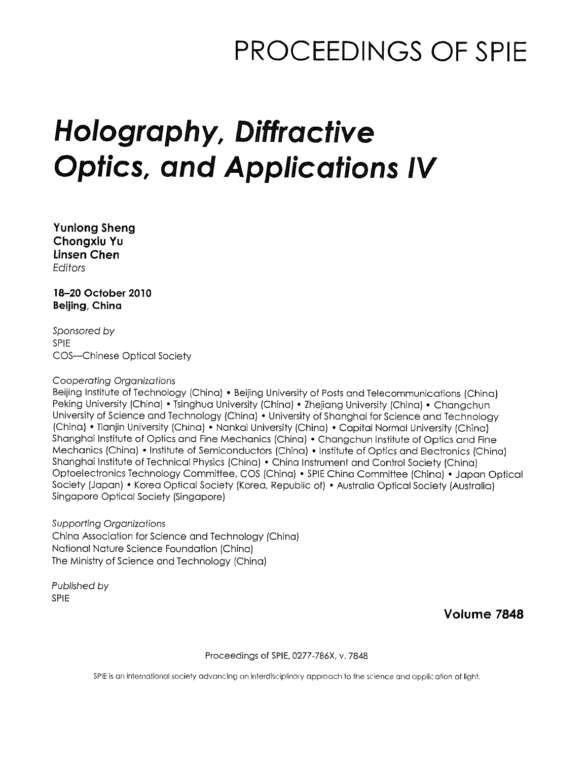## PROCEEDINGS OF SPIE

# Holography, Diffractive Optics, and Applications IV

Yunlong Sheng Chongxiu Yu Linsen Chen Editors

18-20 October 2010 Beijing, China

Sponsored by SPIE COS—Chinese Optical Society

#### Cooperating Organizations

Beijing Institute of Technology (China) • Beijing University of Posts and Telecommunications (China) Peking University (China) • Tsinghua University (China) • Zhejiang University (China) • Changchur University of Science and Technology (China) • University of Shanghai for Science and Technology (China) • Tianjin University (China) • Nankai University (China) • Capital Normal University (China) Shanghai Institute of Optics and Fine Mechanics (China) • Changchun Institute of Optics and Fine Mechanics (China) • Institute of Semiconductors (China) • Institute of Optics and Electronics (China) Shanghai Institute of Technical Physics (China) • China Instrument and Control Society (China) Optoelectronics Technology Committee, COS (China) • SPIE China Committee (China) • Japan Optical Society (Japan) • Korea Optical Society (Korea, Republic of) • Australia Optical Society (Australia) Singapore Optical Society (Singapore)

Supporting Organizations China Association for Science and Technology (China) National Nature Science Foundation (China) The Ministry of Science and Technology (China)

Published by SPIE

Volume 7848

Proceedings of SPIE, 0277-786X, v. 7848

SPIE is an international society advancing an interdisciplinary approach to tine science and applic ation of light.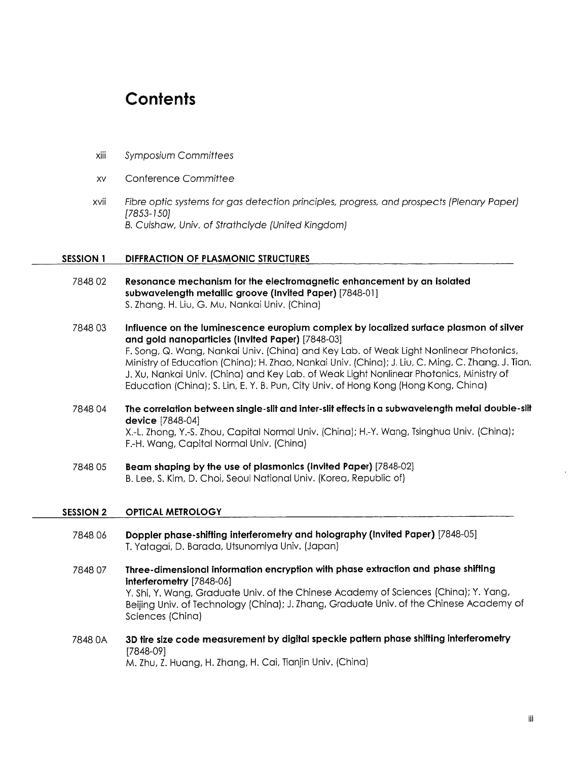### **Contents**

- xiii Symposium Committees
- xv Conference Committee
- xvii Fibre optic systems for gas detection principles, progress, and prospects (Plenary Paper) [7853-150] B. Culshaw, Univ. of Strathclyde (United Kingdom)

#### SESSION <sup>1</sup> DIFFRACTION OF PLASMONIC STRUCTURES

- 7848 <sup>02</sup> Resonance mechanism for the electromagnetic enhancement by an isolated subwavelength metallic groove (Invited Paper) [7848-01] S. Zhang, H. Liu, G. Mu, Nankai Univ. (China)
- 7848 03 Influence on the luminescence europium complex by localized surface plasmon of silver and gold nanoparticles (Invited Paper) [7848-03] F, Song, Q. Wang, Nankai Univ. (China) and Key Lab. of Weak Light Nonlinear Photonics, Ministry of Education (China); H. Zhao, Nankai Univ. (China); J. Liu, C. Ming, C. Zhang, J. Tian, J. Xu, Nankai Univ. (China) and Key Lab. of Weak Light Nonlinear Photonics, Ministry of Education (China); S. Lin, E. Y. B. Pun, City Univ. of Hong Kong (Hong Kong, China)
- 7848 04 The correlation between single-slit and inter-slit effects in a subwavelength metal double-slit device [7848-04] X.-L. Zhong, Y.-S. Zhou, Capital Normal Univ. (China); H.-Y. Wang, Tsinghua Univ. (China); F.-H. Wang, Capital Normal Univ. (China)
- <sup>7848</sup> <sup>05</sup> Beam shaping by the use of plasmonics (Invited Paper) [7848-02] B. Lee, S. Kim, D. Choi, Seoul National Univ. (Korea, Republic of)

#### SESSION <sup>2</sup> OPTICAL METROLOGY

- 7848 <sup>06</sup> Doppler phase-shifting interferometry and holography (Invited Paper) [7848-05] T. Yatagai, D. Barada, Utsunomiya Univ. (Japan)
- 7848 07 Three-dimensional Information encryption with phase extraction and phase shifting interferometry [7848-06] Y. Shi, Y. Wang, Graduate Univ. of the Chinese Academy of Sciences (China); Y. Yang, Beijing Univ. of Technology (China); J. Zhang, Graduate Univ. of the Chinese Academy of Sciences (China)
- 7848 OA 3D tire size code measurement by digital speckle pattern phase shifting interferometry [7848-09]

M. Zhu, Z. Huang, H. Zhang, H. Cai, Tianjin Univ. (China)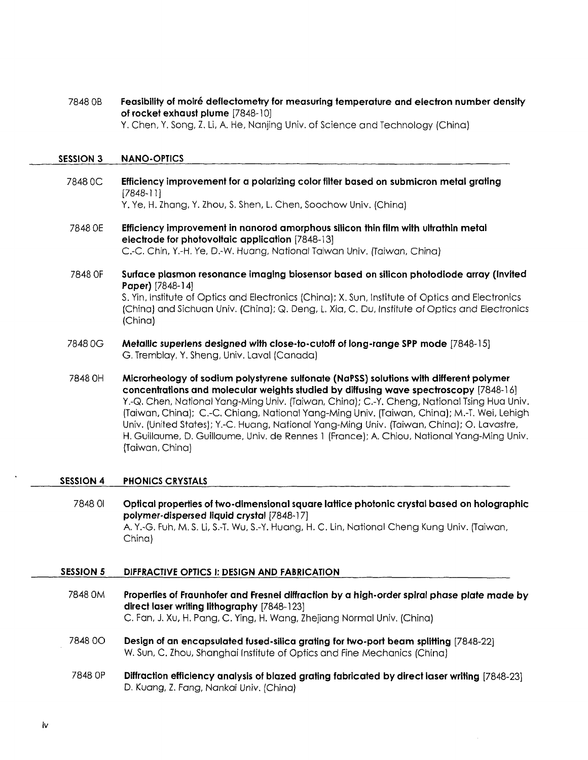7848 OB Feasibility of moire deflectometry for measuring temperature and electron number density of rocket exhaust plume [7848-10] Y. Chen, Y. Song, Z, Li, A. He, Nanjing Univ. of Science and Technology (China)

#### SESSION 3 NANO-OPTICS

7848 0C Efficiency improvement for a polarizing color filter based on submicron metal grating [7848-11]

Y. Ye, H. Zhang, Y. Zhou, S. Shen, L Chen, Soochow Univ. (China)

7848 OE Efficiency improvement in nanorod amorphous silicon thin film with ultrathin metal electrode for photovoltaic application [7848-13] C.-C. Chin, Y.-H. Ye, D.-W. Huang, National Taiwan Univ. (Taiwan, China)

7848 OF Surface plasmon resonance imaging biosensor based on silicon photodiode array (Invited Paper) [7848-14] S. Yin, Institute of Optics and Electronics (China); X. Sun, Institute of Optics and Electronics (China) and Sichuan Univ. (China); Q. Deng, L. Xia, C. Du, Institute of Optics and Electronics (China)

- 7848 0G Metallic superlens designed with close-to-cutoff of long-range SPP mode [7848-15] G. Tremblay, Y. Sheng, Univ. Laval (Canada)
- 7848 OH Microrheology of sodium polystyrene sulfonate (NaPSS) solutions with different polymer concentrations and molecular weights studied by diffusing wave spectroscopy [7848-16] Y.-Q. Chen, National Yang-Ming Univ. (Taiwan, China); C.-Y. Cheng, National Tsing Hua Univ. (Taiwan, China); C.-C. Chiang, National Yang-Ming Univ. (Taiwan, China); M.-T. Wei, Lehigh Univ. (United States); Y.-C. Huang, National Yang-Ming Univ. (Taiwan, China); O. Lavastre, H. Guillaume, D. Guillaume, Univ. de Rennes <sup>1</sup> (France); A. Chiou, National Yang-Ming Univ. (Taiwan, China)

#### SESSION 4 PHONICS CRYSTALS

7848 <sup>01</sup> Optical properties of two-dimensional square lattice photonic crystal based on holographic polymer-dispersed liquid crystal [7848-17] A. Y.-G. Fuh, M. S. Li, S.-T. Wu, S.-Y. Huang, H. C. Lin, National Cheng Kung Univ. (Taiwan, China)

#### SESSION 5 DIFFRACTIVE OPTICS I: DESIGN AND FABRICATION

<sup>7848</sup> 0M Properties of Fraunhofer and Fresnel diffraction by <sup>a</sup> high-order spiral phase plate made by direct laser writing lithography [7848-123] C. Fan, J. Xu, H. Pang, C. Ying, H. Wang, Zhejiang Normal Univ. (China) 7848 0O Design of an encapsulated fused-silica grating for two-port beam splitting [7848-22] W. Sun, C. Zhou, Shanghai Institute of Optics and Fine Mechanics (China) 7848 OP Diffraction efficiency analysis of blazed grating fabricated by direct laser writing [7848-23] D. Kuang, Z. Fang, Nankai Univ. (China)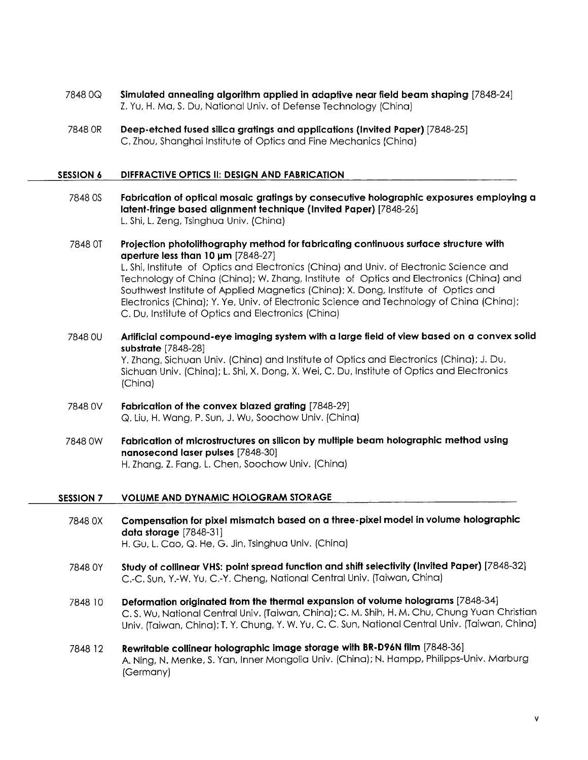- <sup>7848</sup> OQ Simulated annealing algorithm applied in adaptive near field beam shaping [7848-24] Z. Yu, H. Ma, S. Du, National Univ. of Defense Technology (China)
- 7848 OR Deep-etched fused silica gratings and applications (Invited Paper) [7848-25] C. Zhou, Shanghai Institute of Optics and Fine Mechanics (China)

#### SESSION <sup>6</sup> DIFFRACTIVE OPTICS II: DESIGN AND FABRICATION

- 7848 OS Fabrication of optical mosaic gratings by consecutive holographic exposures employing a latent-fringe based alignment technique (Invited Paper) [7848-26] L. Shi, L. Zeng, Tsinghua Univ. (China)
- 7848 OT Projection photolithography method for fabricating continuous surface structure with aperture less than  $10 \mu m$  [7848-27] L. Shi, Institute of Optics and Electronics (China) and Univ. of Electronic Science and Technology of China (China); W. Zhang, Institute of Optics and Electronics (China) and Southwest Institute of Applied Magnetics (China); X. Dong, Institute of Optics and Electronics (China); Y. Ye, Univ. of Electronic Science and Technology of China (China); C. Du, Institute of Optics and Electronics (China)
- 7848 0U Artificial compound-eye imaging system with a large field of view based on a convex solid substrate [7848-28] Y. Zhang, Sichuan Univ. (China) and Institute of Optics and Electronics (China); J. Du, Sichuan Univ. (China); L. Shi, X. Dong, X. Wei, C. Du, Institute of Optics and Electronics (China)
- 7848 0V Fabrication of the convex blazed grating [7848-29] Q. Liu, H. Wang, P. Sun, J. Wu, Soochow Univ. (China)
- 7848 0W Fabrication of microstructures on silicon by multiple beam holographic method using nanosecond laser pulses [7848-30] H. Zhang, Z. Fang, L. Chen, Soochow Univ. (China)

#### SESSION 7 VOLUME AND DYNAMIC HOLOGRAM STORAGE

- 7848 OX Compensation for pixel mismatch based on <sup>a</sup> three-pixel model in volume holographic data storage [7848-31] H. Gu, L. Cao, Q. He, G. Jin, Tsinghua Univ. (China)
- <sup>7848</sup> 0Y Study of collinear VHS: point spread function and shift selectivity (Invited Paper) [7848-32] C.-C. Sun, Y.-W. Yu, C.-Y. Cheng, National Central Uniy. (Taiwan, China)
- 7848 <sup>10</sup> Deformation originated from the thermal expansion of volume holograms [7848-34] C. S. Wu, National Central Univ. (Taiwan, China); C. M. Shih, H. M. Chu, Chung Yuan Christian Univ. (Taiwan, China); T. Y. Chung, Y. W. Yu, C. C. Sun, National Central Univ. (Taiwan, China)
- 7848 <sup>12</sup> Rewritable collinear holographic Image storage with BR-D96N film [7848-36] A. Ning, N. Menke, S. Yan, Inner Mongolia Univ. (China); N. Hampp, Philipps-Univ. Marburg (Germany)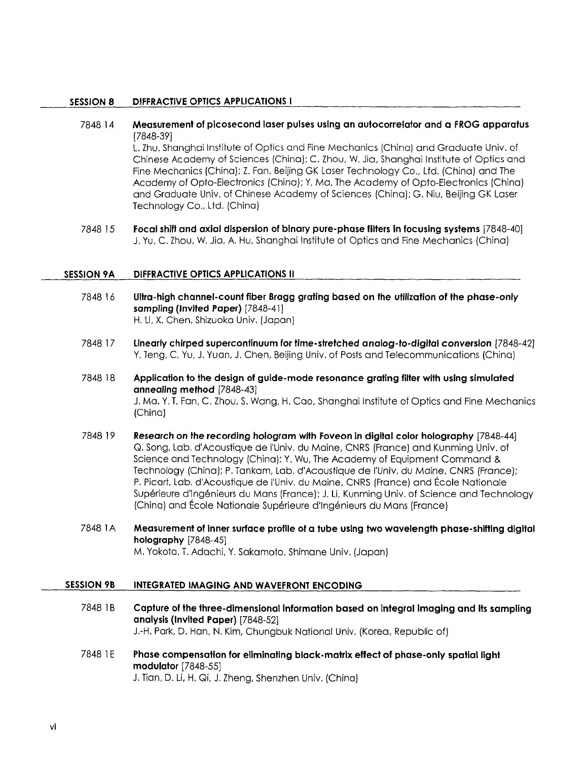#### SESSION 8 DIFFRACTIVE OPTICS APPLICATIONS <sup>I</sup>

7848 <sup>14</sup> Measurement of picosecond laser pulses using an autocorrelator and a FROG apparatus [7848-39] L. Zhu, Shanghai Institute of Optics and Fine Mechanics (China) and Graduate Univ. of Chinese Academy of Sciences (China); C. Zhou, W. Jia, Shanghai Institute of Optics and Fine Mechanics (China); Z. Fan, Beijing GK Laser Technology Co., Ltd. (China) and The Academy of Opto-Electronics (China); Y. Ma, The Academy of Opto-Electronics (China) and Graduate Univ. of Chinese Academy of Sciences (China); G. Niu, Beijing GK Laser

Technology Co., Ltd. (China)

7848 <sup>15</sup> Focal shift and axial dispersion of binary pure-phase filters in focusing systems [7848-40] J. Yu, C. Zhou, W. Jia, A. Hu, Shanghai Institute of Optics and Fine Mechanics (China)

#### SESSION 9A DIFFRACTIVE OPTICS APPLICATIONS II

- 7848 <sup>16</sup> Ultra-high channel-count fiber Bragg grating based on the utilization of the phase-only sampling (Invited Paper) [7848-41] H. Li, X. Chen, Shizuoka Univ. (Japan)
- 7848 <sup>17</sup> Linearly chirped supercontinuum for time-stretched analog-to-digital conversion [7848-42] Y. Teng, C. Yu, J. Yuan, J. Chen, Beijing Univ. of Posts and Telecommunications (China)

7848 <sup>18</sup> Application to the design of guide-mode resonance grating filter with using simulated annealing method [7848-43] J. Ma, Y. T. Fan, C. Zhou, S. Wang, H. Cao, Shanghai Institute of Optics and Fine Mechanics (China)

- 7848 <sup>19</sup> Research on the recording hologram with Foveon in digital color holography [7848-44] Q. Song, Lab. d'Acoustique de I'Univ. du Maine, CNRS (France) and Kunming Univ. of Science and Technology (China); Y. Wu, The Academy of Equipment Command & Technology (China); P. Tankam, Lab. d'Acoustique de I'Univ. du Maine, CNRS (France); P. Picart, Lab. d'Acoustique de I'Univ. du Maine, CNRS (France) and Ecole Nationale Superieure d'lngenieurs du Mans (France); J. Li, Kunming Univ. of Science and Technology (China) and Ecole Nationale Superieure d'lngenieurs du Mans (France)
- 7848 1A Measurement of inner surface profile of a tube using two wavelength phase-shifting digital holography [7848-45] M. Yokota, T. Adachi, Y. Sakamoto, Shimane Univ. (Japan)

#### SESSION 9B INTEGRATED IMAGING AND WAVEFRONT ENCODING

- 7848 1B Capture of the three-dimensional information based on integral imaging and its sampling analysis (Invited Paper) [7848-52] J.-H. Park, D. Han, N. Kim, Chungbuk National Univ. (Korea, Republic of)
- 7848 1E Phase compensation for eliminating black-matrix effect of phase-only spatial light modulator [7848-55] J. Tian, D. Li, H. Qi, J. Zheng, Shenzhen Univ. (China)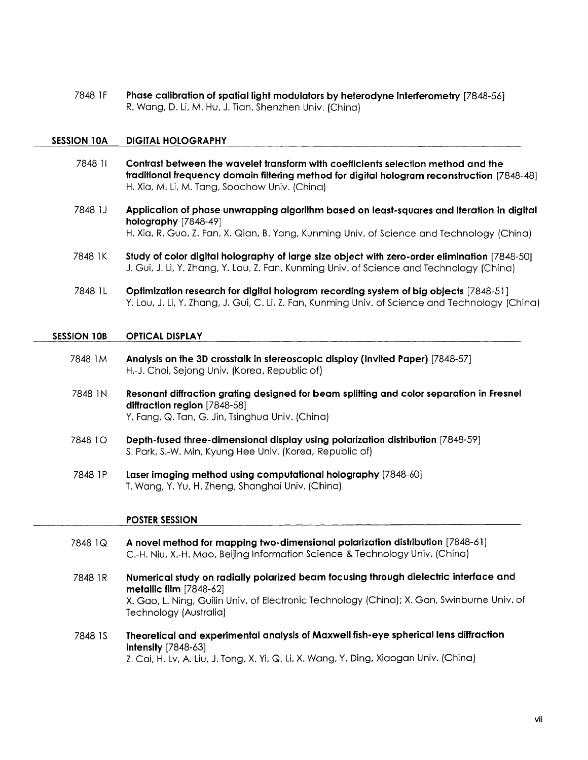7848 1F Phase calibration of spatial light modulators by heterodyne interferometry [7848-56] R. Wang, D. Li, M. Hu, J. Tian, Shenzhen Univ. (China)

#### SESSION 10A DIGITAL HOLOGRAPHY

- 7848 <sup>11</sup> Contrast between the wavelet transform with coefficients selection method and the traditional frequency domain filtering method for digital hologram reconstruction [7848-48] H. Xia, M. Li, M. Tang, Soochow Univ. (China)
- 7848 1J Application of phase unwrapping algorithm based on least-squares and iteration in digital holography [7848-49] H. Xia, R. Guo, Z. Fan, X. Qian, B. Yang, Kunming Univ. of Science and Technology (China)
- 7848 1K Study of color digital holography of large size object with zero-order elimination [7848-50] J. Gui, J. Li, Y. Zhang, Y. Lou, Z. Fan, Kunming Univ. of Science and Technology (China)
- 7848 1L Optimization research for digital hologram recording system of big objects [7848-51 ] Y. Lou, J. Li, Y. Zhang, J. Gui, C. Li, Z. Fan, Kunming Univ. of Science and Technology (China

#### SESSION 10B OPTICAL DISPLAY

- 7848 1M Analysis on the 3D crosstalk in stereoscopic display (Invited Paper) [7848-57] H.-J. Choi, Sejong Univ. (Korea, Republic of)
- 7848 IN Resonant diffraction grating designed for beam splitting and color separation in Fresnel diffraction region [7848-58] Y. Fang, Q. Tan, G. Jin, Tsinghua Univ. (China)
- 7848 10 Depth-fused three-dimensional display using polarization distribution [7848-59] S. Park, S.-W. Min, Kyung Hee Univ. (Korea, Republic of)
- 7848 1P Laser imaging method using computational holography [7848-60] T. Wang, Y. Yu, H. Zheng, Shanghai Univ. (China)

#### POSTER SESSION

- 7848 1Q A novel method for mapping two-dimensional polarization distribution [7848-61] C.-H. Niu, X.-H. Mao, Beijing Information Science & Technology Univ. (China)
- <sup>7848</sup> 1R Numerical study on radially polarized beam focusing through dielectric interface and metallic film [7848-62] X. Gao, L. Ning, Guilin Univ. of Electronic Technology (China); X. Gan, Swinburne Univ. of Technology (Australia)
- 7848 IS Theoretical and experimental analysis of Maxwell fish-eye spherical lens diffraction intensity [7848-63] Z. Cai, H. Lv, A. Liu, J. Tong, X. Yi, Q. Li, X. Wang, Y. Ding, Xiaogan Univ. (China)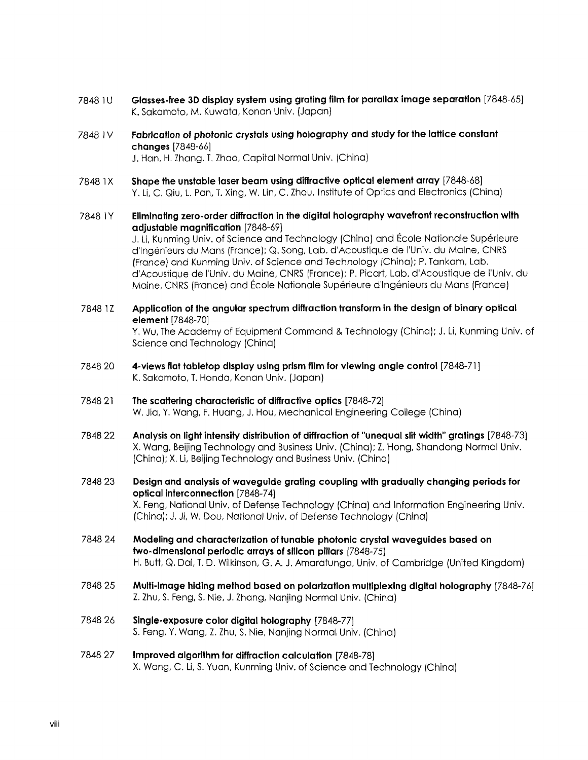- 7848 1U Glasses-free 3D display system using grating film for parallax image separation [7848-65] K. Sakamoto, M. Kuwata, Konan Univ. (Japan)
- 7848 1V Fabrication of photonic crystals using holography and study for the lattice constant changes [7848-66] J. Han, H. Zhang, T. Zhao, Capital Normal Univ. (China)
- 7848 1X Shape the unstable laser beam using diffractive optical element array [7848-68] Y. Li, C. Qiu, L. Pan, T. Xing, W. Lin, C. Zhou, Institute of Optics and Electronics (China)
- 7848 1Y Eliminating zero-order diffraction in the digital holography wavefront reconstruction with adjustable magnification [7848-69] J. Li, Kunming Univ. of Science and Technology (China) and Ecole Nationale Superieure d'lngenieurs du Mans (France); Q. Song, Lab. d'Acoustique de I'Univ. du Maine, CNRS (France) and Kunming Univ. of Science and Technology (China); P. Tankam, Lab. d'Acoustique de I'Univ. du Maine, CNRS (France); P. Picart, Lab. d'Acoustique de I'Univ. du Maine, CNRS (France) and École Nationale Supérieure d'Ingénieurs du Mans (France)
- 7848 1Z Application of the angular spectrum diffraction transform in the design of binary optical element [7848-70] Y, Wu, The Academy of Equipment Command & Technology (China); J. Li, Kunming Univ. of Science and Technology (China)
- 7848 20 4-views flat tabletop display using prism film for viewing angle control [7848-71 ] K. Sakamoto, T. Honda, Konan Univ. (Japan)
- 7848 21 The scattering characteristic of diffractive optics [7848-72] W. Jia, Y. Wang, F. Huang, J. Hou, Mechanical Engineering College (China)
- 7848 22 Analysis on light intensity distribution of diffraction of "unequal slit width" gratings [7848-73] X. Wang, Beijing Technology and Business Univ. (China); Z. Hong, Shandong Normal Univ. (China); X. Li, Beijing Technology and Business Univ. (China)
- 7848 23 Design and analysis of waveguide grating coupling with gradually changing periods for optical interconnection [7848-74] X. Feng, National Univ. of Defense Technology (China) and Information Engineering Univ. (China); J. Ji, W. Dou, National Univ. of Defense Technology (China)
- 7848 24 Modeling and characterization of tunable photonic crystal waveguides based on two-dimensional periodic arrays of silicon pillars [7848-75] H. Butt, Q. Dai, T. D. Wilkinson, G. A. J. Amaratunga, Univ. of Cambridge (United Kingdom)
- 7848 <sup>25</sup> Multi-image hiding method based on polarization multiplexing digital holography [7848-76] Z. Zhu, S. Feng, S. Nie, J. Zhang, Nanjing Normal Univ. (China)
- 7848 26 Single-exposure color digital holography [7848-77] S. Feng, Y. Wang, Z. Zhu, S. Nie, Nanjing Normal Univ. (China)
- 7848 27 Improved algorithm for diffraction calculation [7848-78] X. Wang, C. Li, S. Yuan, Kunming Univ. of Science and Technology (China)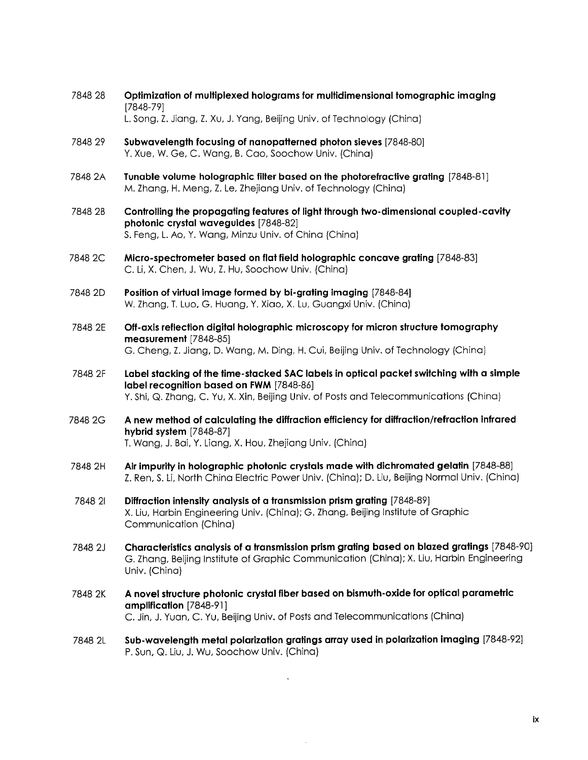- 7848 28 Optimization of multiplexed holograms for multidimensional tomographic imaging [7848-79] L. Song, Z. Jiang, Z. Xu, J. Yang, Beijing Univ. of Technology (China)
- 7848 29 Subwavelength focusing of nanopatterned photon sieves [7848-80] Y. Xue, W. Ge, C. Wang, B. Cao, Soochow Univ. (China)
- 7848 2A Tunable volume holographic filter based on the photorefractive grating [7848-81] M. Zhang, H. Meng, Z. Le, Zhejiang Univ. of Technology (China)
- 7848 2B Controlling the propagating features of light through two-dimensional coupled-cavity photonic crystal waveguides [7848-82] S. Feng, L. Ao, Y. Wang, Minzu Univ. of China (China)
- 7848 2C Micro-spectrometer based on flat field holographic concave grating [7848-83] C. Li, X. Chen, J. Wu, Z. Hu, Soochow Univ. (China)
- 7848 2D Position of virtual image formed by bi-grating imaging [7848-84] W. Zhang, T. Luo, G. Huang, Y. Xiao, X. Lu, Guangxi Univ. (China)
- 7848 2E Off-axis reflection digital holographic microscopy for micron structure tomography measurement [7848-85] G. Cheng, Z. Jiang, D. Wang, M. Ding, H. Cui, Beijing Univ. of Technology (China)
- <sup>7848</sup> 2F Label stacking of the time-stacked SAC labels in optical packet switching with a simple label recognition based on FWM [7848-86] Y. Shi, Q. Zhang, C. Yu, X. Xin, Beijing Univ. of Posts and Telecommunications (China)
- 7848 2G A new method of calculating the diffraction efficiency for diffraction/refraction infrared hybrid system [7848-87] T. Wang, J. Bai, Y. Liang, X. Hou, Zhejiang Univ. (China)
- 7848 2H Air impurity in holographic photonic crystals made with dichromated gelatin [7848-88] Z. Ren, S. Li, North China Electric Power Univ. (China); D. Liu, Beijing Normal Univ. (China)
- 7848 <sup>21</sup> Diffraction intensity analysis of a transmission prism grating [7848-89] X. Liu, Harbin Engineering Univ. (China); G. Zhang, Beijing Institute of Graphic Communication (China)
- 7848 2J Characteristics analysis of a transmission prism grating based on blazed gratings [7848-90] G. Zhang, Beijing Institute of Graphic Communication (China); X. Liu, Harbin Engineering Univ. (China)
- 7848 2K A novel structure photonic crystal fiber based on bismuth-oxide for optical parametric amplification [7848-91] C. Jin, J. Yuan, C. Yu, Beijing Univ. of Posts and Telecommunications (China)
- 7848 2L Sub-wavelength metal polarization gratings array used in polarization imaging [7848-92] P. Sun, Q. Liu, J. Wu, Soochow Univ. (China)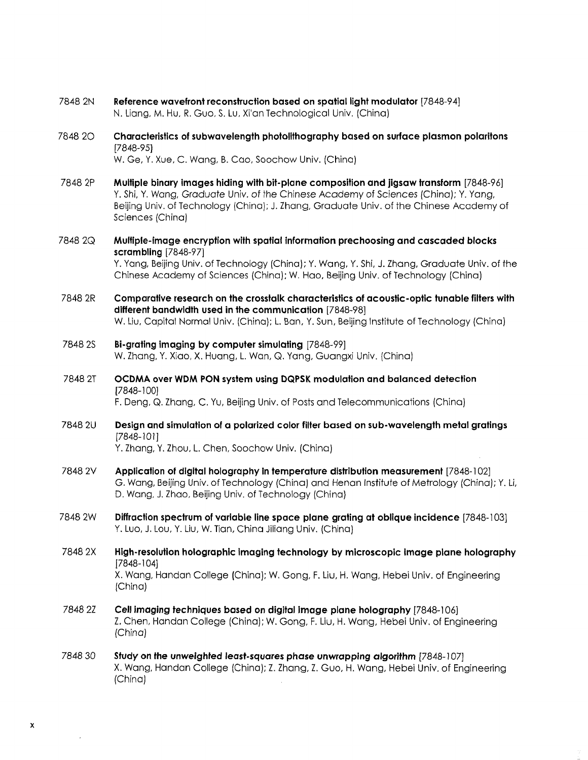- 7848 2N Reference wavefront reconstruction based on spatial light modulator [7848-94] N. Liang, M. Hu, R. Guo, S. Lu, Xi'an Technological Univ. (China)
- 7848 20 Characteristics of subwavelength photolithography based on surface plasmon polaritons [7848-95] W. Ge, Y. Xue, C. Wang, B. Cao, Soochow Univ. (China)
- 7848 2P Multiple binary images hiding with bit-plane composition and jigsaw transform [7848-96] Y, Shi, Y. Wang, Graduate Univ. of the Chinese Academy of Sciences (China); Y. Yang, Beijing Univ. of Technology (China); J. Zhang, Graduate Univ. of the Chinese Academy of Sciences (China)
- 7848 2Q Multiple-Image encryption with spatial information prechoosing and cascaded blocks scrambling [7848-97] Y. Yang, Beijing Univ. of Technology (China); Y. Wang, Y. Shi, J. Zhang, Graduate Univ. of the Chinese Academy of Sciences (China); W. Hao, Beijing Univ. of Technology (China)
- 7848 2R Comparative research on the crosstalk characteristics of acoustic-optic tunable filters with different bandwidth used in the communication [7848-98] W. Liu, Capital Normal Univ. (China); L. Ban, Y. Sun, Beijing Institute of Technology (China)
- 7848 2S Bi-grating imaging by computer simulating [7848-99] W. Zhang, Y. Xiao, X. Huang, L. Wan, Q. Yang, Guangxi Univ. (China)
- <sup>7848</sup> 2T OCDMA over WDM PON system using DQPSK modulation and balanced detection [7848-100]

F. Deng, Q. Zhang, C. Yu, Beijing Univ. of Posts and Telecommunications (China)

7848 2U Design and simulation of a polarized color filter based on sub-wavelength metal gratings [7848-101]

Y. Zhang, Y. Zhou, L. Chen, Soochow Univ. (China)

- 7848 2V Application of digital holography in temperature distribution measurement [7848-102] G. Wang, Beijing Univ. of Technology (China) and Henan Institute of Metrology (China); Y. Li, D. Wang, J. Zhao, Beijing Univ. of Technology (China)
- 7848 2W Diffraction spectrum of variable line space plane grating at oblique incidence [7848-103] Y. Luo, J. Lou, Y. Liu, W. Tian, China Jiliang Univ. (China)
- 7848 2X High-resolution holographic imaging technology by microscopic image plane holography [7848-104] X. Wang, Handan College (China); W. Gong, F. Liu, H. Wang, Hebei Univ. of Engineering (China)
- 7848 2Z Cell imaging techniques based on digital image plane holography [7848-106] Z. Chen, Handan College (China); W. Gong, F. Liu, H. Wang, Hebei Univ. of Engineering (China)
- 7848 30 Study on the unweighted least-squares phase unwrapping algorithm [7848-107] X. Wang, Handan College (China); Z. Zhang, Z. Guo, H. Wang, Hebei Univ. of Engineering (China)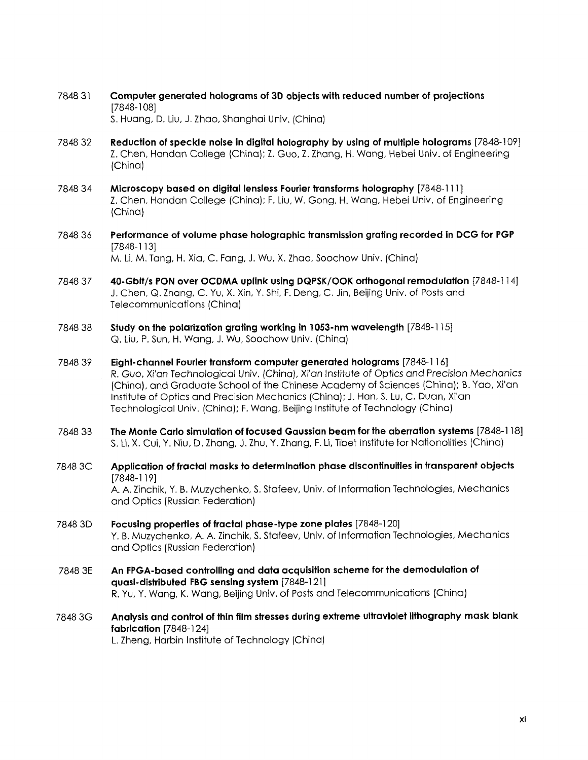- 7848 <sup>31</sup> Computer generated holograms of 3D objects with reduced number of projections [7848-108] S. Huang, D. Liu, J. Zhao, Shanghai Univ. (China)
- 7848 32 Reduction of speckle noise in digital holography by using of multiple holograms [7848-109] Z. Chen, Handan College (China); Z. Guo, Z. Zhang, H. Wang, Hebei Univ. of Engineering (China)
- 7848 34 Microscopy based on digital lensless Fourier transforms holography [7848-111 ] Z. Chen, Handan College (China); F. Liu, W. Gong, H. Wang, Hebei Univ. of Engineering (China)
- <sup>7848</sup> <sup>36</sup> Performance of volume phase holographic transmission grating recorded in DCG for PGP [7848-113] M. Li, M. Tang, H. Xia, C. Fang, J. Wu, X. Zhao, Soochow Univ. (China)
- <sup>7848</sup> <sup>37</sup> 40-Gbit/s PON over OCDMA uplink using DQPSK/OOK orthogonal remodulation [7848-114] J. Chen, Q. Zhang, C. Yu, X. Xin, Y. Shi, F. Deng, C. Jin, Beijing Univ. of Posts and Telecommunications (China)
- 7848 38 Study on the polarization grating working in 1053-nm wavelength [7848-115] Q. Liu, P. Sun, H. Wang, J. Wu, Soochow Univ. (China)
- 7848 39 Eight-channel Fourier transform computer generated holograms [7848-116] R. Guo, Xi'an Technological Univ, (China), Xi'an Institute of Optics and Precision Mechanics (China), and Graduate School of the Chinese Academy of Sciences (China); B. Yao, Xi'an Institute of Optics and Precision Mechanics (China); J. Han, S. Lu, C. Duan, Xi'an Technological Univ. (China); F. Wang, Beijing Institute of Technology (China)
- 7848 3B The Monte Carlo simulation of focused Gaussian beam for the aberration systems [7848-118] S. Li, X. Cui, Y. Niu, D. Zhang, J. Zhu, Y. Zhang, F. Li, Tibet Institute for Nationalities (China)
- <sup>7848</sup> 3C Application of fractal masks to determination phase discontinuities in transparent objects [7848-119] A. A. Zinchik, Y. B. Muzychenko, S. Stafeev, Univ. of Information Technologies, Mechanics and Optics (Russian Federation)
- 7848 3D Focusing properties of fractal phase-type zone plates [7848-120] Y. B. Muzychenko, A. A. Zinchik, S. Stafeev, Univ. of Information Technologies, Mechanics and Optics (Russian Federation)
- 7848 3E An FPGA-based controlling and data acquisition scheme for the demodulation of quasi-distributed FBG sensing system [7848-121] R. Yu, Y. Wang, K. Wang, Beijing Univ. of Posts and Telecommunications (China)
- 7848 3G Analysis and control of thin film stresses during extreme ultraviolet lithography mask blank fabrication [7848-124] L. Zheng, Harbin Institute of Technology (China)